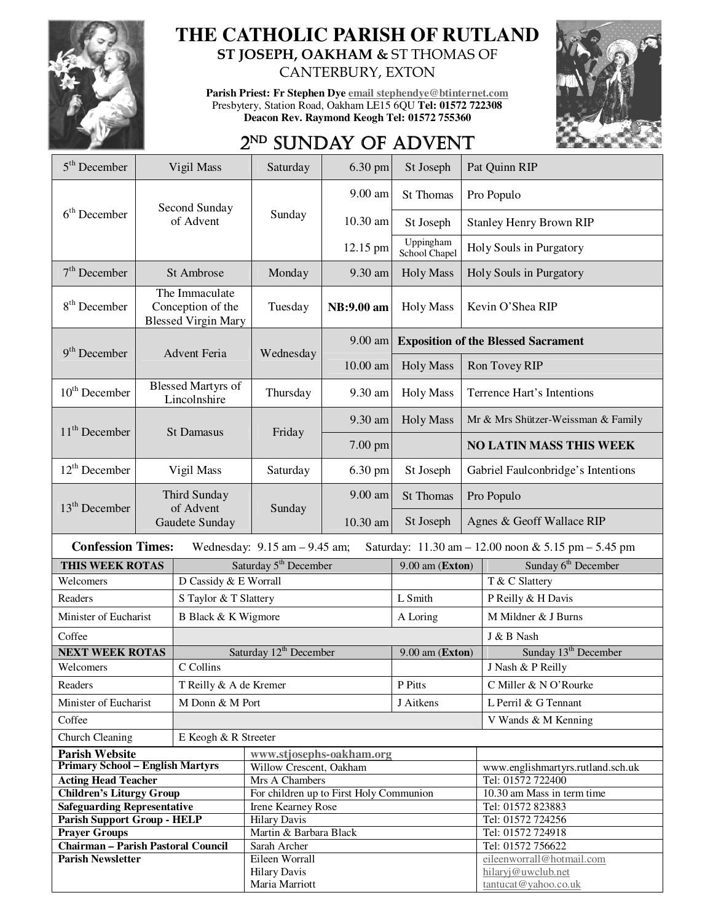

## **THE CATHOLIC PARISH OF RUTLAND ST JOSEPH, OAKHAM &** ST THOMAS OF

CANTERBURY, EXTON

**Parish Priest: Fr Stephen Dye email stephendye@btinternet.com** Presbytery, Station Road, Oakham LE15 6QU **Tel: 01572 722308 Deacon Rev. Raymond Keogh Tel: 01572 755360** 



## 2<sup>ND</sup> SUNDAY OF ADVENT

| $5th$ December                                                                                                      | Vigil Mass                                                        |                                   | 6.30 pm<br>Saturday                     |                   | St Joseph                       | Pat Quinn RIP                                   |  |  |  |  |
|---------------------------------------------------------------------------------------------------------------------|-------------------------------------------------------------------|-----------------------------------|-----------------------------------------|-------------------|---------------------------------|-------------------------------------------------|--|--|--|--|
|                                                                                                                     | Second Sunday<br>of Advent                                        |                                   | Sunday                                  | 9.00 am           | St Thomas                       | Pro Populo                                      |  |  |  |  |
| $6th$ December                                                                                                      |                                                                   |                                   |                                         | 10.30 am          | St Joseph                       | <b>Stanley Henry Brown RIP</b>                  |  |  |  |  |
|                                                                                                                     |                                                                   |                                   |                                         | 12.15 pm          | Uppingham<br>School Chapel      | Holy Souls in Purgatory                         |  |  |  |  |
| $7th$ December                                                                                                      | St Ambrose                                                        |                                   | Monday                                  | 9.30 am           | <b>Holy Mass</b>                | Holy Souls in Purgatory                         |  |  |  |  |
| $8th$ December                                                                                                      | The Immaculate<br>Conception of the<br><b>Blessed Virgin Mary</b> |                                   | Tuesday                                 | NB:9.00 am        | <b>Holy Mass</b>                | Kevin O'Shea RIP                                |  |  |  |  |
|                                                                                                                     |                                                                   |                                   |                                         | 9.00 am           |                                 | <b>Exposition of the Blessed Sacrament</b>      |  |  |  |  |
| $9th$ December                                                                                                      |                                                                   | <b>Advent Feria</b>               | Wednesday                               | 10.00 am          | <b>Holy Mass</b>                | Ron Tovey RIP                                   |  |  |  |  |
| $10th$ December                                                                                                     | <b>Blessed Martyrs of</b><br>Lincolnshire                         |                                   | Thursday                                | 9.30 am           | <b>Holy Mass</b>                | Terrence Hart's Intentions                      |  |  |  |  |
| $11th$ December                                                                                                     | <b>St Damasus</b>                                                 |                                   | Friday                                  | 9.30 am           | <b>Holy Mass</b>                | Mr & Mrs Shützer-Weissman & Family              |  |  |  |  |
|                                                                                                                     |                                                                   |                                   |                                         | 7.00 pm           |                                 | <b>NO LATIN MASS THIS WEEK</b>                  |  |  |  |  |
| $12th$ December                                                                                                     | Vigil Mass                                                        |                                   | Saturday                                | 6.30 pm           | St Joseph                       | Gabriel Faulconbridge's Intentions              |  |  |  |  |
| $13th$ December                                                                                                     | Third Sunday<br>of Advent                                         |                                   | Sunday                                  | 9.00 am           | <b>St Thomas</b>                | Pro Populo                                      |  |  |  |  |
|                                                                                                                     |                                                                   | Gaudete Sunday                    |                                         | 10.30 am          | St Joseph                       | Agnes & Geoff Wallace RIP                       |  |  |  |  |
| <b>Confession Times:</b><br>Wednesday: $9.15$ am $-9.45$ am;<br>Saturday: 11.30 am - 12.00 noon & 5.15 pm - 5.45 pm |                                                                   |                                   |                                         |                   |                                 |                                                 |  |  |  |  |
| THIS WEEK ROTAS                                                                                                     |                                                                   | Saturday 5 <sup>th</sup> December |                                         | $9.00$ am (Exton) | Sunday 6 <sup>th</sup> December |                                                 |  |  |  |  |
| Welcomers                                                                                                           |                                                                   | D Cassidy & E Worrall             |                                         |                   |                                 | T & C Slattery                                  |  |  |  |  |
| Readers                                                                                                             |                                                                   | S Taylor & T Slattery             |                                         |                   | L Smith                         | P Reilly & H Davis                              |  |  |  |  |
| Minister of Eucharist                                                                                               |                                                                   | B Black & K Wigmore               |                                         |                   | A Loring                        | M Mildner & J Burns                             |  |  |  |  |
| Coffee                                                                                                              |                                                                   |                                   |                                         |                   |                                 | J & B Nash                                      |  |  |  |  |
| <b>NEXT WEEK ROTAS</b>                                                                                              |                                                                   |                                   | Saturday 12 <sup>th</sup> December      |                   | $9.00$ am (Exton)               | Sunday 13 <sup>th</sup> December                |  |  |  |  |
| Welcomers                                                                                                           |                                                                   | C Collins                         |                                         |                   |                                 | J Nash & P Reilly                               |  |  |  |  |
| Readers                                                                                                             |                                                                   | T Reilly & A de Kremer            |                                         |                   | P Pitts                         | C Miller & N O'Rourke                           |  |  |  |  |
| Minister of Eucharist                                                                                               |                                                                   | M Donn & M Port                   |                                         |                   | J Aitkens                       | L Perril & G Tennant                            |  |  |  |  |
| Coffee                                                                                                              |                                                                   |                                   |                                         |                   |                                 | V Wands & M Kenning                             |  |  |  |  |
| Church Cleaning<br>E Keogh & R Streeter                                                                             |                                                                   |                                   |                                         |                   |                                 |                                                 |  |  |  |  |
| <b>Parish Website</b><br>www.stjosephs-oakham.org                                                                   |                                                                   |                                   |                                         |                   |                                 |                                                 |  |  |  |  |
| <b>Primary School - English Martyrs</b>                                                                             |                                                                   |                                   | Willow Crescent, Oakham                 |                   |                                 | www.englishmartyrs.rutland.sch.uk               |  |  |  |  |
| <b>Acting Head Teacher</b>                                                                                          |                                                                   |                                   | Mrs A Chambers                          |                   |                                 | Tel: 01572 722400                               |  |  |  |  |
| <b>Children's Liturgy Group</b>                                                                                     |                                                                   |                                   | For children up to First Holy Communion |                   |                                 | 10.30 am Mass in term time                      |  |  |  |  |
| <b>Safeguarding Representative</b>                                                                                  |                                                                   |                                   | Irene Kearney Rose                      |                   |                                 | Tel: 01572 823883                               |  |  |  |  |
| <b>Parish Support Group - HELP</b>                                                                                  |                                                                   |                                   | <b>Hilary Davis</b>                     |                   |                                 | Tel: 01572 724256                               |  |  |  |  |
| <b>Prayer Groups</b>                                                                                                |                                                                   |                                   | Martin & Barbara Black                  |                   |                                 | Tel: 01572 724918                               |  |  |  |  |
| Chairman - Parish Pastoral Council                                                                                  |                                                                   |                                   | Sarah Archer                            |                   |                                 | Tel: 01572 756622                               |  |  |  |  |
| <b>Parish Newsletter</b>                                                                                            |                                                                   |                                   | Eileen Worrall<br><b>Hilary Davis</b>   |                   |                                 | eileenworrall@hotmail.com<br>hilaryj@uwclub.net |  |  |  |  |
|                                                                                                                     |                                                                   |                                   | Maria Marriott                          |                   |                                 | tantucat@yahoo.co.uk                            |  |  |  |  |